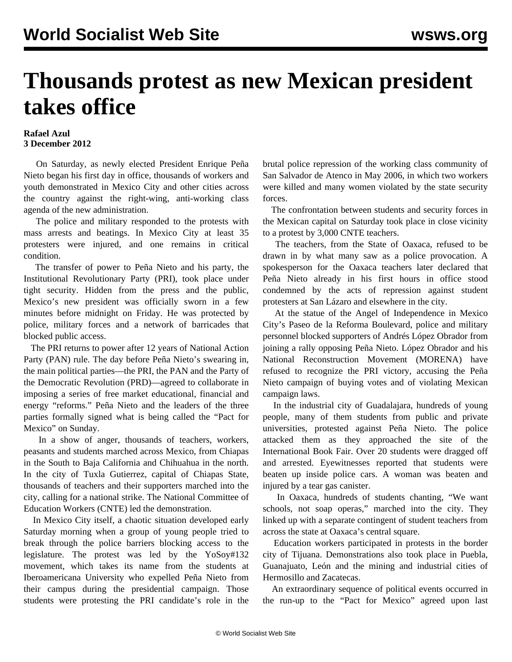## **Thousands protest as new Mexican president takes office**

## **Rafael Azul 3 December 2012**

 On Saturday, as newly elected President Enrique Peña Nieto began his first day in office, thousands of workers and youth demonstrated in Mexico City and other cities across the country against the right-wing, anti-working class agenda of the new administration.

 The police and military responded to the protests with mass arrests and beatings. In Mexico City at least 35 protesters were injured, and one remains in critical condition.

 The transfer of power to Peña Nieto and his party, the Institutional Revolutionary Party (PRI), took place under tight security. Hidden from the press and the public, Mexico's new president was officially sworn in a few minutes before midnight on Friday. He was protected by police, military forces and a network of barricades that blocked public access.

 The PRI returns to power after 12 years of National Action Party (PAN) rule. The day before Peña Nieto's swearing in, the main political parties—the PRI, the PAN and the Party of the Democratic Revolution (PRD)—agreed to collaborate in imposing a series of free market educational, financial and energy "reforms." Peña Nieto and the leaders of the three parties formally signed what is being called the "Pact for Mexico" on Sunday.

 In a show of anger, thousands of teachers, workers, peasants and students marched across Mexico, from Chiapas in the South to Baja California and Chihuahua in the north. In the city of Tuxla Gutierrez, capital of [Chiapas](http://www.youtube.com/watch?v=5uhJUN23INI) State, thousands of teachers and their supporters marched into the city, calling for a national strike. The National Committee of Education Workers (CNTE) led the demonstration.

 In Mexico City itself, a chaotic situation developed early Saturday morning when a group of young people tried to break through the police barriers blocking access to the legislature. The protest was led by the YoSoy#132 movement, which takes its name from the students at Iberoamericana University who expelled Peña Nieto from their campus during the presidential campaign. Those students were protesting the PRI candidate's role in the

brutal police repression of the working class community of San Salvador de Atenco in May 2006, in which two workers were killed and many women violated by the state security forces.

 The confrontation between students and security forces in the Mexican capital on Saturday took place in close vicinity to a protest by 3,000 CNTE teachers.

 The teachers, from the State of Oaxaca, refused to be drawn in by what many saw as a police provocation. A spokesperson for the Oaxaca teachers later declared that Peña Nieto already in his first hours in office stood condemned by the acts of repression against student protesters at San Lázaro and elsewhere in the city.

 At the statue of the Angel of Independence in Mexico City's Paseo de la Reforma Boulevard, police and military personnel blocked supporters of Andrés López Obrador from joining a rally opposing Peña Nieto. López Obrador and his National Reconstruction Movement (MORENA) have refused to recognize the PRI victory, accusing the Peña Nieto campaign of buying votes and of violating Mexican campaign laws.

 In the industrial city of Guadalajara, hundreds of young people, many of them students from public and private universities, protested against Peña Nieto. The police attacked them as they approached the site of the International Book Fair. Over 20 students were dragged off and arrested. Eyewitnesses reported that students were beaten up inside police cars. A woman was beaten and injured by a tear gas canister.

 In Oaxaca, hundreds of students chanting, "We want schools, not soap operas," marched into the city. They linked up with a separate contingent of student teachers from across the state at Oaxaca's central square.

 Education workers participated in protests in the border city of Tijuana. Demonstrations also took place in Puebla, Guanajuato, León and the mining and industrial cities of Hermosillo and Zacatecas.

 An extraordinary sequence of political events occurred in the run-up to the "Pact for Mexico" agreed upon last